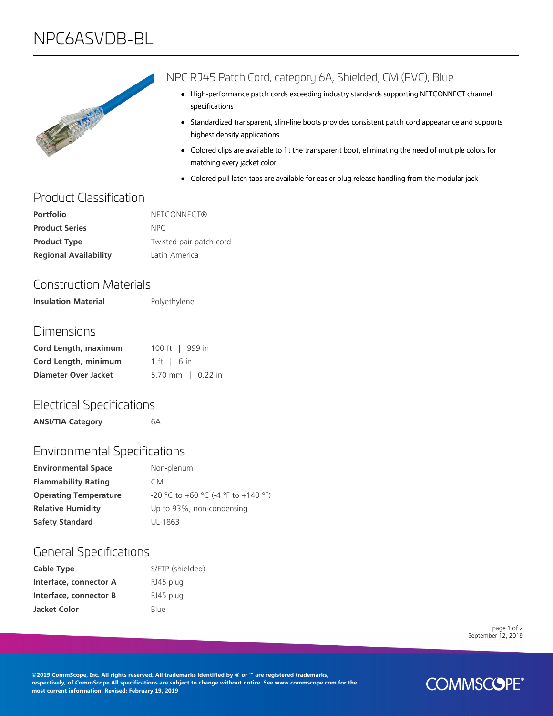# NPC6ASVDB-BL



#### NPC RJ45 Patch Cord, category 6A, Shielded, CM (PVC), Blue

- High-performance patch cords exceeding industry standards supporting NETCONNECT channel specifications
- Standardized transparent, slim-line boots provides consistent patch cord appearance and supports highest density applications
- Colored clips are available to fit the transparent boot, eliminating the need of multiple colors for matching every jacket color
- Colored pull latch tabs are available for easier plug release handling from the modular jack

## Product Classification

| <b>Portfolio</b>             | NETCONNECT®             |
|------------------------------|-------------------------|
| <b>Product Series</b>        | NPC.                    |
| <b>Product Type</b>          | Twisted pair patch cord |
| <b>Regional Availability</b> | Latin America           |

## Construction Materials

**Insulation Material** Polyethylene

#### Dimensions

| Cord Length, maximum        | 100 ft   999 in       |
|-----------------------------|-----------------------|
| Cord Length, minimum        | $1 \text{ ft}$   6 in |
| <b>Diameter Over Jacket</b> | 5.70 mm   $0.22$ in   |

#### Electrical Specifications

**ANSI/TIA Category** 6A

## Environmental Specifications

| <b>Environmental Space</b>   | Non-plenum                          |
|------------------------------|-------------------------------------|
| <b>Flammability Rating</b>   | CM.                                 |
| <b>Operating Temperature</b> | -20 °C to +60 °C (-4 °F to +140 °F) |
| <b>Relative Humidity</b>     | Up to 93%, non-condensing           |
| <b>Safety Standard</b>       | UL 1863                             |

#### General Specifications

| <b>Cable Type</b>      | S/FTP (shielded) |
|------------------------|------------------|
| Interface, connector A | RJ45 plug        |
| Interface, connector B | RJ45 plug        |
| <b>Jacket Color</b>    | Blue             |

page 1 of 2 September 12, 2019

**©2019 CommScope, Inc. All rights reserved. All trademarks identified by ® or ™ are registered trademarks, respectively, of CommScope.All specifications are subject to change without notice. See www.commscope.com for the most current information. Revised: February 19, 2019**